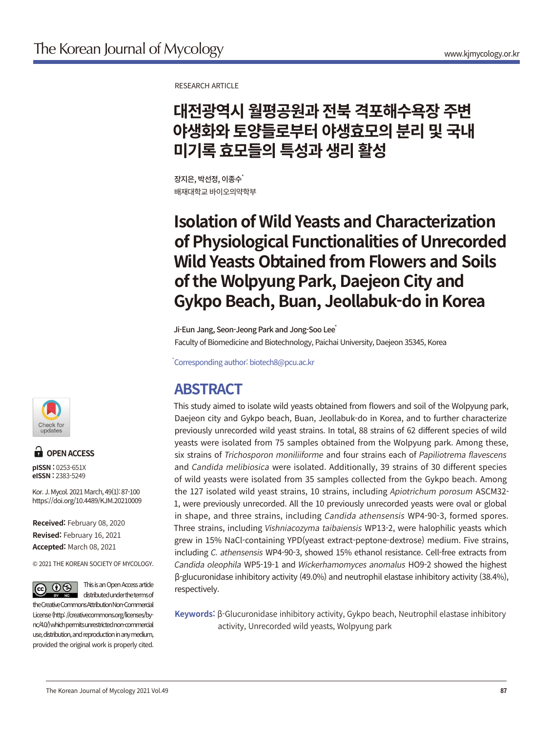RESEARCH ARTICLE

# **대전광역시 월평공원과 전북 격포해수욕장 주변 야생화와 토양들로부터 야생효모의 분리 및 국내 미기록 효모들의 특성과 생리 활성**

장지은, 박선정, 이종수 배재대학교 바이오의약학부

# **Isolation of Wild Yeasts and Characterization of Physiological Functionalities of Unrecorded Wild Yeasts Obtained from Flowers and Soils of the Wolpyung Park, Daejeon City and Gykpo Beach, Buan, Jeollabuk-do in Korea**

Ji-Eun Jang, Seon-Jeong Park and Jong-Soo Lee<sup>\*</sup> Faculty of Biomedicine and Biotechnology, Paichai University, Daejeon 35345, Korea

\* Corresponding author: biotech8@pcu.ac.kr

## **ABSTRACT**

This study aimed to isolate wild yeasts obtained from flowers and soil of the Wolpyung park, Daejeon city and Gykpo beach, Buan, Jeollabuk-do in Korea, and to further characterize previously unrecorded wild yeast strains. In total, 88 strains of 62 different species of wild yeasts were isolated from 75 samples obtained from the Wolpyung park. Among these, six strains of Trichosporon moniliiforme and four strains each of Papiliotrema flavescens and Candida melibiosica were isolated. Additionally, 39 strains of 30 different species of wild yeasts were isolated from 35 samples collected from the Gykpo beach. Among the 127 isolated wild yeast strains, 10 strains, including Apiotrichum porosum ASCM32- 1, were previously unrecorded. All the 10 previously unrecorded yeasts were oval or global in shape, and three strains, including Candida athensensis WP4-90-3, formed spores. Three strains, including Vishniacozyma taibaiensis WP13-2, were halophilic yeasts which grew in 15% NaCl-containing YPD(yeast extract-peptone-dextrose) medium. Five strains, including C. athensensis WP4-90-3, showed 15% ethanol resistance. Cell-free extracts from Candida oleophila WP5-19-1 and Wickerhamomyces anomalus HO9-2 showed the highest β-glucuronidase inhibitory activity (49.0%) and neutrophil elastase inhibitory activity (38.4%), respectively.

**Keywords:** β-Glucuronidase inhibitory activity, Gykpo beach, Neutrophil elastase inhibitory activity, Unrecorded wild yeasts, Wolpyung park



### **OPEN ACCESS**

**pISSN :** 0253-651X **eISSN :** 2383-5249

https://doi.org/10.4489/KJM.20210009 Kor. J. Mycol. 2021 March, 49(1): 87-100

**Accepted:** March 08, 2021 **Revised:** February 16, 2021 **Received:** February 08, 2020

© 2021 THE KOREAN SOCIETY OF MYCOLOGY.



This is an Open Access article distributed under the terms of the Creative Commons Attribution Non-Commercial

License (http: //creativecommons.org/licenses/bync/4.0/) which permits unrestricted non-commercial use, distribution, and reproduction in any medium, provided the original work is properly cited.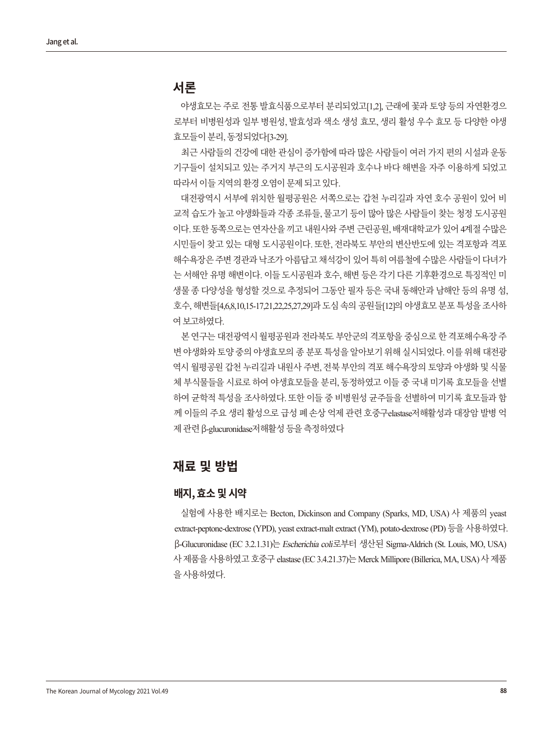#### **서론**

야생효모는 주로 전통 발효식품으로부터 분리되었고[1,2], 근래에 꽃과 토양 등의 자연환경으 로부터 비병원성과 일부 병원성, 발효성과 색소 생성 효모, 생리 활성 우수 효모 등 다양한 야생 효모들이분리, 동정되었다[3-29].

최근 사람들의 건강에 대한 관심이 증가함에 따라 많은 사람들이 여러 가지 편의 시설과 운동 기구들이 설치되고 있는 주거지 부근의 도시공원과 호수나 바다 해변을 자주 이용하게 되었고 따라서 이들 지역의 화경 오염이 무제 되고 있다.

대전광역시 서부에 위치한 월평공원은 서쪽으로는 갑천 누리길과 자연 호수 공원이 있어 비 교적 습도가 높고 야생화들과 각종 조류들, 물고기 등이 많아 많은 사람들이 찾는 청정 도시공원 이다. 또한 동쪽으로는 연자산을 끼고 내원사와 주변 근린공원, 배재대학교가 있어 4계절 수많은 시민들이 찾고 있는 대형 도시공원이다. 또한, 전라북도 부안의 변산반도에 있는 격포항과 격포 해수욕장은 주변 경관과 낙조가 아름답고 채석강이 있어 특히 여름철에 수많은 사람들이 다녀가 는 서해안 유명 해변이다. 이들 도시공원과 호수, 해변 등은 각기 다른 기후환경으로 특징적인 미 생물 종 다양성을 형성할 것으로 추정되어 그동안 필자 등은 국내 동해안과 남해안 등의 유명 섬, 호수, 해변들[4,6,8,10,15-17,21,22,25,27,29]과 도심 속의 공원들[12]의 야생효모 분포 특성을 조사하 여보고하였다.

본 연구는 대전광역시 월평공원과 전라북도 부안군의 격포항을 중심으로 한 격포해수욕장 주 변 야생화와 토양 중의 야생효모의 종 분포 특성을 알아보기 위해 실시되었다. 이를 위해 대전광 역시 월평공원 갑천 누리길과 내원사 주변, 전북 부안의 격포 해수욕장의 토양과 야생화 및 식물 체 부식물들을 시료로 하여 야생효모들을 분리, 동정하였고 이들 중 국내 미기록 효모들을 선별 하여 균학적 특성을 조사하였다. 또한 이들 중 비병원성 균주들을 선별하여 미기록 효모들과 함 께 이들의 주요 생리 활성으로 급성 폐 손상 억제 관련 호중구elastase저해활성과 대장암 발병 억 제관련β-glucuronidase저해활성등을측정하였다

### **재료 및 방법**

#### **배지, 효소 및 시약**

실험에 사용한 배지로는 Becton, Dickinson and Company (Sparks, MD, USA) 사 제품의 yeast extract-peptone-dextrose (YPD), yeast extract-malt extract (YM), potato-dextrose (PD) 등을 사용하였다. β-Glucuronidase (EC 3.2.1.31)는 Escherichia coli로부터 생산된 Sigma-Aldrich (St. Louis, MO, USA) 사제품을 사용하였고 호중구 elastase (EC 3.4.21.37)는 Merck Millipore (Billerica, MA, USA) 사 제품 을사용하였다.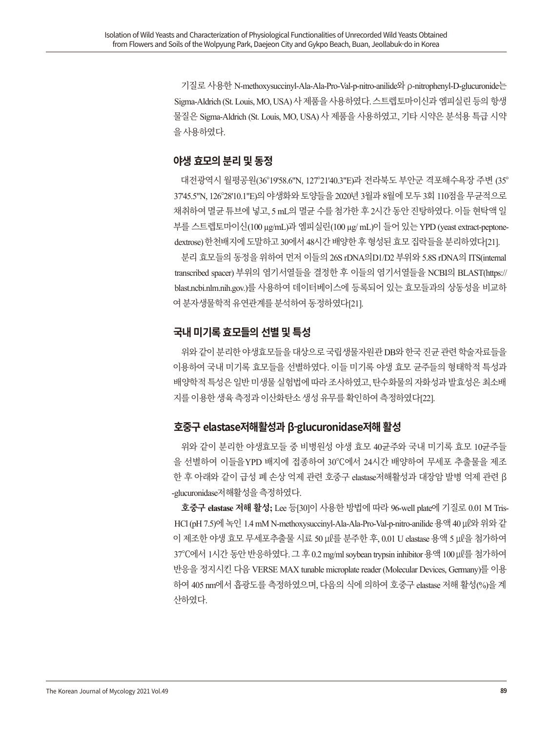기질로 사용한 N-methoxysuccinyl-Ala-Ala-Pro-Val-p-nitro-anilide와 ρ-nitrophenyl-D-glucuronide는 Sigma-Aldrich (St. Louis, MO, USA) 사 제품을 사용하였다. 스트렙토마이시과 엠피실린 등의 항생 물질은 Sigma-Aldrich (St. Louis, MO, USA) 사 제품을 사용하였고, 기타 시약은 분석용 특급 시약 을사용하였다.

#### **야생 효모의 분리 및 동정**

대전광역시 월평공원(36°19'58.6"N, 127°21'40.3"E)과 전라북도 부안군 격포해수욕장 주변 (35° 37'45.5"N, 126°28'10.1"E)의 야생화와 토양들을 2020년 3월과 8월에 모두 3회 110점을 무균적으로 채취하여 멸균 튜브에 넣고, 5 mL의 멸균 수를 첨가한 후 2시간 동안 진탕하였다. 이들 현탁액 일 부를 스트렙토마이신(100 µg/mL)과 엠피실린(100 µg/ mL)이 들어 있는 YPD (yeast extract-peptonedextrose) 한천배지에 도말하고 30에서 48시간 배양한 후 형성된 효모 집락들을 분리하였다[21].

분리 효모들의 동정을 위하여 먼저 이들의 26S rDNA의D1/D2 부위와 5.8S rDNA의 ITS(internal transcribed spacer) 부위의 염기서열들을 결정한 후 이들의 염기서열들을 NCBI의 BLAST(https:// blast.ncbi.nlm.nih.gov.)를 사용하여 데이터베이스에 등록되어 있는 효모들과의 상동성을 비교하 여분자생물학적유연관계를분석하여동정하였다[21].

#### **국내 미기록 효모들의 선별 및 특성**

위와같이분리한야생효모들을대상으로국립생물자원관 DB와한국진균관련학술자료들을 이용하여 국내 미기록 효모들을 선별하였다. 이들 미기록 야생 효모 균주들의 형태학적 특성과 배양학적 특성은 일반 미생물 실험법에 따라 조사하였고, 탄수화물의 자화성과 발효성은 최소배 지를이용한생육측정과이산화탄소생성유무를확인하여측정하였다[22].

#### **호중구 elastase저해활성과 β-glucuronidase저해 활성**

위와 같이 분리한 야생효모들 중 비병원성 야생 효모 40균주와 국내 미기록 효모 10균주들 을 선별하여 이들을YPD 배지에 접종하여 30℃에서 24시간 배양하여 무세포 추출물을 제조 한 후 아래와 같이 급성 폐 손상 억제 관련 호중구 elastase저해활성과 대장암 발병 억제 관련 β -glucuronidase저해활성을측정하였다.

**호중구 elastase 저해 활성;** Lee 등[30]이 사용한 방법에 따라 96-well plate에 기질로 0.01 M Tris-HCl (pH 7.5)에 녹인 1.4 mM N-methoxysuccinyl-Ala-Ala-Pro-Val-p-nitro-anilide 용액 40 μl와 위와 같 이 제조한 야생 효모 무세포추출물 시료 50 ㎕를 분주한 후, 0.01 U elastase 용액 5 ㎕을 첨가하여 37℃에서 1시간 동안 반응하였다. 그 후 0.2 mg/ml soybean trypsin inhibitor 용액 100 ㎕를 첨가하여 반응을 정지시킨 다음 VERSE MAX tunable microplate reader (Molecular Devices, Germany)를 이용 하여 405 nm에서 흡광도를 측정하였으며, 다음의 식에 의하여 호중구 elastase 저해 활성(%)을 계 산하였다.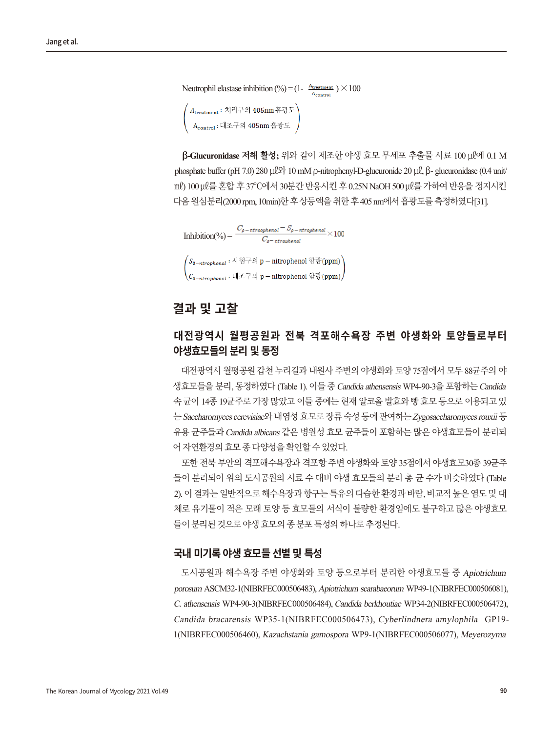```
Neutrophil elastase inhibition (%) = (1 - \frac{A_{\text{treatment}}}{A_{\text{control}}}) \times 100/ A<sub>treatment</sub> : 처리구의 405nm 흡광도 )<br>| A<sub>control</sub> : 대조구의 405nm 흡광도 )
```
**β-Glucuronidase 저해 활성;** 위와 같이 제조한 야생 효모 무세포 추출물 시료 100 ㎕에 0.1 M phosphate buffer (pH 7.0) 280 μl Ω 10 mM ρ-nitrophenyl-D-glucuronide 20 μl, β- glucuronidase (0.4 unit/ ml) 100 μl를 혼합 후 37°C에서 30분간 반응시킨 후 0.25N NaOH 500 μl를 가하여 반응을 정지시킨 다음 원심분리(2000 rpm, 10min)한 후 상등액을 취한 후 405 nm에서 흡광도를 측정하였다[31].

 $\text{Inhibition}(\%) = \frac{C_{\rho-\text{ntroomkenol}} - S_{\rho-\text{ntrophenol}}}{C_{\text{turbensant}}} \times 100$  $\Big( S_{0-ntrophenol} : \wedge|\, \grave{\mathbb{S}}\, \vec{\to}\, \mathbb{S}\, p - \text{nitrophenol}\, \grave{\mathbb{S}}\, \vec{\in}\, \text{(ppm)} \Big)$  $\chi_{\mathcal{C}_{0-ntranbenol}}$ : 대조구의 p – nitrophenol 함량(ppm),

#### **결과 및 고찰**

#### **대전광역시 월평공원과 전북 격포해수욕장 주변 야생화와 토양들로부터 야생효모들의 분리 및 동정**

대전광역시 월평공원 갑천 누리길과 내원사 주변의 야생화와 토양 75점에서 모두 88균주의 야 생효모들을 분리, 동정하였다 (Table 1). 이들 중 Candida athensensis WP4-90-3을 포함하는 Candida 속 균이 14종 19균주로 가장 많았고 이들 중에는 현재 알코올 발효와 빵 효모 등으로 이용되고 있 는Saccharomyces cerevisiae와내염성효모로장류숙성등에관여하는Zygosaccharomyces rouxii 등 유용 균주들과Candida albicans 같은 병원성 효모 균주들이 포함하는 많은 야생효모들이 분리되 어자연환경의효모종다양성을확인할수있었다.

또한 전북 부안의 격포해수욕장과 격포항 주변 야생화와 토양 35점에서 야생효모30종 39균주 들이 분리되어 위의 도시공원의 시료 수 대비 야생 효모들의 분리 총 균 수가 비슷하였다 (Table 2). 이결과는일반적으로해수욕장과항구는특유의다습한환경과바람, 비교적높은염도및대 체로 유기물이 적은 모래 토양 등 효모들의 서식이 불량한 환경임에도 불구하고 많은 야생효모 들이분리된것으로야생효모의종분포특성의하나로추정된다.

#### **국내 미기록 야생 효모들 선별 및 특성**

도시공원과 해수욕장 주변 야생화와 토양 등으로부터 분리한 야생효모들 중 Apiotrichum porosum ASCM32-1(NIBRFEC000506483), Apiotrichum scarabaeorum WP49-1(NIBRFEC000506081), C. athensensis WP4-90-3(NIBRFEC000506484), Candida berkhoutiae WP34-2(NIBRFEC000506472), Candida bracarensis WP35-1(NIBRFEC000506473), Cyberlindnera amylophila GP19- 1(NIBRFEC000506460), Kazachstania gamospora WP9-1(NIBRFEC000506077), Meyerozyma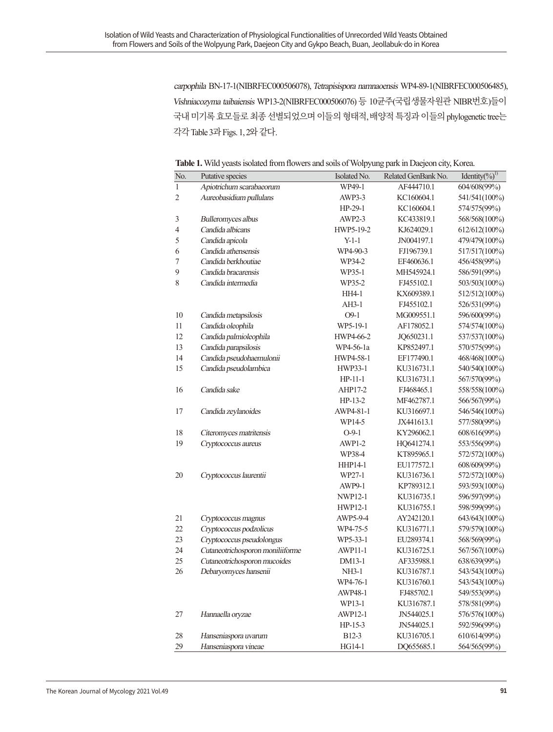carpophila BN-17-1(NIBRFEC000506078), Tetrapisispora namnaoensis WP4-89-1(NIBRFEC000506485), Vishniacozyma taibaiensis WP13-2(NIBRFEC000506076) 등 10균주(국립생물자원관 NIBR번호)들이 국내 미기록 효모들로 최종 선별되었으며 이들의 형태적, 배양적 특징과 이들의 phylogenetic tree는 각각 Table 3과 Figs. 1, 2와같다.

**Table 1.** Wild yeasts isolated from flowers and soils of Wolpyung park in Daejeon city, Korea.

| No.<br>Related GenBank No.<br>Isolated No.<br>Putative species<br>$\mathbf{1}$<br>WP49-1<br>604/608(99%)<br>Apiotrichum scarabaeorum<br>AF444710.1<br>Aureobasidium pullulans<br>541/541(100%)<br>$\overline{2}$<br>AWP3-3<br>KC160604.1<br>$HP-29-1$<br>KC160604.1<br>574/575(99%)<br>$\mathfrak{Z}$<br>Bulleromyces albus<br>AWP2-3<br>KC433819.1<br>568/568(100%)<br>Candida albicans<br>612/612(100%)<br>$\overline{4}$<br>HWP5-19-2<br>KJ624029.1<br>Candida apicola<br>$Y-1-1$<br>5<br>JN004197.1<br>479/479(100%)<br>Candida athensensis<br>WP4-90-3<br>FJ196739.1<br>517/517(100%)<br>6<br>Candida berkhoutiae<br>7<br>WP34-2<br>EF460636.1<br>456/458(99%)<br>9<br>Candida bracarensis<br>WP35-1<br>MH545924.1<br>586/591(99%)<br>FJ455102.1<br>8<br>Candida intermedia<br>WP35-2<br>503/503(100%)<br>HH4-1<br>KX609389.1<br>512/512(100%)<br>$AH3-1$<br>FJ455102.1<br>526/531(99%)<br>$O9-1$<br>10<br>MG009551.1<br>596/600(99%)<br>Candida metapsilosis<br>11<br>WP5-19-1<br>AF178052.1<br>574/574(100%)<br>Candida oleophila<br>12<br>Candida palmioleophila<br>HWP4-66-2<br>JQ650231.1<br>537/537(100%)<br>Candida parapsilosis<br>13<br>WP4-56-1a<br>KP852497.1<br>570/575(99%)<br>14<br>Candida pseudohaemulonii<br>HWP4-58-1<br>EF177490.1<br>468/468(100%)<br>15<br>Candida pseudolambica<br>HWP33-1<br>KU316731.1<br>540/540(100%)<br>$HP-11-1$<br>KU316731.1<br>567/570(99%)<br>FJ468465.1<br>16<br>Candida sake<br>AHP17-2<br>558/558(100%)<br>$HP-13-2$<br>MF462787.1<br>566/567(99%)<br>17<br>Candida zeylanoides<br>AWP4-81-1<br>KU316697.1<br>546/546(100%)<br>WP14-5<br>577/580(99%)<br>JX441613.1<br>$O-9-1$<br>18<br>KY296062.1<br>608/616(99%)<br>Citeromyces matritensis<br>19<br>553/556(99%)<br>Cryptococcus aureus<br>AWP1-2<br>HQ641274.1<br>KT895965.1<br>WP38-4<br>572/572(100%)<br>608/609(99%)<br><b>HHP14-1</b><br>EU177572.1<br>WP27-1<br>20<br>KU316736.1<br>572/572(100%)<br>Cryptococcus laurentii<br>AWP9-1<br>KP789312.1<br>593/593(100%)<br>NWP12-1<br>596/597(99%)<br>KU316735.1<br>598/599(99%)<br>HWP12-1<br>KU316755.1<br>AY242120.1<br>643/643(100%)<br>21<br>AWP5-9-4<br>Cryptococcus magnus<br>22<br>Cryptococcus podzolicus<br>WP4-75-5<br>KU316771.1<br>579/579(100%)<br>Cryptococcus pseudolongus<br>568/569(99%)<br>23<br>WP5-33-1<br>EU289374.1<br>24<br>Cutaneotrichosporon moniliiforme<br>567/567(100%)<br><b>AWP11-1</b><br>KU316725.1<br>25<br>Cutaneotrichosporon mucoides<br>DM13-1<br>638/639(99%)<br>AF335988.1<br>543/543(100%)<br>26<br>Debaryomyces hansenii<br>NH3-1<br>KU316787.1<br>543/543(100%)<br>WP4-76-1<br>KU316760.1<br>AWP48-1<br>FJ485702.1<br>549/553(99%)<br>WP13-1<br>578/581(99%)<br>KU316787.1<br>$27\,$<br>Hannaella oryzae<br>AWP12-1<br>576/576(100%)<br>JN544025.1<br>592/596(99%)<br>$HP-15-3$<br>JN544025.1<br>28<br>Hanseniaspora uvarum<br>B <sub>12</sub> -3<br>KU316705.1<br>610/614(99%)<br>Hanseniaspora vineae<br>29<br>HG14-1<br>DQ655685.1<br>564/565(99%) |  |  |                           |
|-----------------------------------------------------------------------------------------------------------------------------------------------------------------------------------------------------------------------------------------------------------------------------------------------------------------------------------------------------------------------------------------------------------------------------------------------------------------------------------------------------------------------------------------------------------------------------------------------------------------------------------------------------------------------------------------------------------------------------------------------------------------------------------------------------------------------------------------------------------------------------------------------------------------------------------------------------------------------------------------------------------------------------------------------------------------------------------------------------------------------------------------------------------------------------------------------------------------------------------------------------------------------------------------------------------------------------------------------------------------------------------------------------------------------------------------------------------------------------------------------------------------------------------------------------------------------------------------------------------------------------------------------------------------------------------------------------------------------------------------------------------------------------------------------------------------------------------------------------------------------------------------------------------------------------------------------------------------------------------------------------------------------------------------------------------------------------------------------------------------------------------------------------------------------------------------------------------------------------------------------------------------------------------------------------------------------------------------------------------------------------------------------------------------------------------------------------------------------------------------------------------------------------------------------------------------------------------------------------------------------------------------------------------------------------------------------------------------------------------------------------------------------------------------------------------------------------------------------------------------------------------------------------------------------------------------------------------------|--|--|---------------------------|
|                                                                                                                                                                                                                                                                                                                                                                                                                                                                                                                                                                                                                                                                                                                                                                                                                                                                                                                                                                                                                                                                                                                                                                                                                                                                                                                                                                                                                                                                                                                                                                                                                                                                                                                                                                                                                                                                                                                                                                                                                                                                                                                                                                                                                                                                                                                                                                                                                                                                                                                                                                                                                                                                                                                                                                                                                                                                                                                                                                 |  |  | Identity(%) <sup>1)</sup> |
|                                                                                                                                                                                                                                                                                                                                                                                                                                                                                                                                                                                                                                                                                                                                                                                                                                                                                                                                                                                                                                                                                                                                                                                                                                                                                                                                                                                                                                                                                                                                                                                                                                                                                                                                                                                                                                                                                                                                                                                                                                                                                                                                                                                                                                                                                                                                                                                                                                                                                                                                                                                                                                                                                                                                                                                                                                                                                                                                                                 |  |  |                           |
|                                                                                                                                                                                                                                                                                                                                                                                                                                                                                                                                                                                                                                                                                                                                                                                                                                                                                                                                                                                                                                                                                                                                                                                                                                                                                                                                                                                                                                                                                                                                                                                                                                                                                                                                                                                                                                                                                                                                                                                                                                                                                                                                                                                                                                                                                                                                                                                                                                                                                                                                                                                                                                                                                                                                                                                                                                                                                                                                                                 |  |  |                           |
|                                                                                                                                                                                                                                                                                                                                                                                                                                                                                                                                                                                                                                                                                                                                                                                                                                                                                                                                                                                                                                                                                                                                                                                                                                                                                                                                                                                                                                                                                                                                                                                                                                                                                                                                                                                                                                                                                                                                                                                                                                                                                                                                                                                                                                                                                                                                                                                                                                                                                                                                                                                                                                                                                                                                                                                                                                                                                                                                                                 |  |  |                           |
|                                                                                                                                                                                                                                                                                                                                                                                                                                                                                                                                                                                                                                                                                                                                                                                                                                                                                                                                                                                                                                                                                                                                                                                                                                                                                                                                                                                                                                                                                                                                                                                                                                                                                                                                                                                                                                                                                                                                                                                                                                                                                                                                                                                                                                                                                                                                                                                                                                                                                                                                                                                                                                                                                                                                                                                                                                                                                                                                                                 |  |  |                           |
|                                                                                                                                                                                                                                                                                                                                                                                                                                                                                                                                                                                                                                                                                                                                                                                                                                                                                                                                                                                                                                                                                                                                                                                                                                                                                                                                                                                                                                                                                                                                                                                                                                                                                                                                                                                                                                                                                                                                                                                                                                                                                                                                                                                                                                                                                                                                                                                                                                                                                                                                                                                                                                                                                                                                                                                                                                                                                                                                                                 |  |  |                           |
|                                                                                                                                                                                                                                                                                                                                                                                                                                                                                                                                                                                                                                                                                                                                                                                                                                                                                                                                                                                                                                                                                                                                                                                                                                                                                                                                                                                                                                                                                                                                                                                                                                                                                                                                                                                                                                                                                                                                                                                                                                                                                                                                                                                                                                                                                                                                                                                                                                                                                                                                                                                                                                                                                                                                                                                                                                                                                                                                                                 |  |  |                           |
|                                                                                                                                                                                                                                                                                                                                                                                                                                                                                                                                                                                                                                                                                                                                                                                                                                                                                                                                                                                                                                                                                                                                                                                                                                                                                                                                                                                                                                                                                                                                                                                                                                                                                                                                                                                                                                                                                                                                                                                                                                                                                                                                                                                                                                                                                                                                                                                                                                                                                                                                                                                                                                                                                                                                                                                                                                                                                                                                                                 |  |  |                           |
|                                                                                                                                                                                                                                                                                                                                                                                                                                                                                                                                                                                                                                                                                                                                                                                                                                                                                                                                                                                                                                                                                                                                                                                                                                                                                                                                                                                                                                                                                                                                                                                                                                                                                                                                                                                                                                                                                                                                                                                                                                                                                                                                                                                                                                                                                                                                                                                                                                                                                                                                                                                                                                                                                                                                                                                                                                                                                                                                                                 |  |  |                           |
|                                                                                                                                                                                                                                                                                                                                                                                                                                                                                                                                                                                                                                                                                                                                                                                                                                                                                                                                                                                                                                                                                                                                                                                                                                                                                                                                                                                                                                                                                                                                                                                                                                                                                                                                                                                                                                                                                                                                                                                                                                                                                                                                                                                                                                                                                                                                                                                                                                                                                                                                                                                                                                                                                                                                                                                                                                                                                                                                                                 |  |  |                           |
|                                                                                                                                                                                                                                                                                                                                                                                                                                                                                                                                                                                                                                                                                                                                                                                                                                                                                                                                                                                                                                                                                                                                                                                                                                                                                                                                                                                                                                                                                                                                                                                                                                                                                                                                                                                                                                                                                                                                                                                                                                                                                                                                                                                                                                                                                                                                                                                                                                                                                                                                                                                                                                                                                                                                                                                                                                                                                                                                                                 |  |  |                           |
|                                                                                                                                                                                                                                                                                                                                                                                                                                                                                                                                                                                                                                                                                                                                                                                                                                                                                                                                                                                                                                                                                                                                                                                                                                                                                                                                                                                                                                                                                                                                                                                                                                                                                                                                                                                                                                                                                                                                                                                                                                                                                                                                                                                                                                                                                                                                                                                                                                                                                                                                                                                                                                                                                                                                                                                                                                                                                                                                                                 |  |  |                           |
|                                                                                                                                                                                                                                                                                                                                                                                                                                                                                                                                                                                                                                                                                                                                                                                                                                                                                                                                                                                                                                                                                                                                                                                                                                                                                                                                                                                                                                                                                                                                                                                                                                                                                                                                                                                                                                                                                                                                                                                                                                                                                                                                                                                                                                                                                                                                                                                                                                                                                                                                                                                                                                                                                                                                                                                                                                                                                                                                                                 |  |  |                           |
|                                                                                                                                                                                                                                                                                                                                                                                                                                                                                                                                                                                                                                                                                                                                                                                                                                                                                                                                                                                                                                                                                                                                                                                                                                                                                                                                                                                                                                                                                                                                                                                                                                                                                                                                                                                                                                                                                                                                                                                                                                                                                                                                                                                                                                                                                                                                                                                                                                                                                                                                                                                                                                                                                                                                                                                                                                                                                                                                                                 |  |  |                           |
|                                                                                                                                                                                                                                                                                                                                                                                                                                                                                                                                                                                                                                                                                                                                                                                                                                                                                                                                                                                                                                                                                                                                                                                                                                                                                                                                                                                                                                                                                                                                                                                                                                                                                                                                                                                                                                                                                                                                                                                                                                                                                                                                                                                                                                                                                                                                                                                                                                                                                                                                                                                                                                                                                                                                                                                                                                                                                                                                                                 |  |  |                           |
|                                                                                                                                                                                                                                                                                                                                                                                                                                                                                                                                                                                                                                                                                                                                                                                                                                                                                                                                                                                                                                                                                                                                                                                                                                                                                                                                                                                                                                                                                                                                                                                                                                                                                                                                                                                                                                                                                                                                                                                                                                                                                                                                                                                                                                                                                                                                                                                                                                                                                                                                                                                                                                                                                                                                                                                                                                                                                                                                                                 |  |  |                           |
|                                                                                                                                                                                                                                                                                                                                                                                                                                                                                                                                                                                                                                                                                                                                                                                                                                                                                                                                                                                                                                                                                                                                                                                                                                                                                                                                                                                                                                                                                                                                                                                                                                                                                                                                                                                                                                                                                                                                                                                                                                                                                                                                                                                                                                                                                                                                                                                                                                                                                                                                                                                                                                                                                                                                                                                                                                                                                                                                                                 |  |  |                           |
|                                                                                                                                                                                                                                                                                                                                                                                                                                                                                                                                                                                                                                                                                                                                                                                                                                                                                                                                                                                                                                                                                                                                                                                                                                                                                                                                                                                                                                                                                                                                                                                                                                                                                                                                                                                                                                                                                                                                                                                                                                                                                                                                                                                                                                                                                                                                                                                                                                                                                                                                                                                                                                                                                                                                                                                                                                                                                                                                                                 |  |  |                           |
|                                                                                                                                                                                                                                                                                                                                                                                                                                                                                                                                                                                                                                                                                                                                                                                                                                                                                                                                                                                                                                                                                                                                                                                                                                                                                                                                                                                                                                                                                                                                                                                                                                                                                                                                                                                                                                                                                                                                                                                                                                                                                                                                                                                                                                                                                                                                                                                                                                                                                                                                                                                                                                                                                                                                                                                                                                                                                                                                                                 |  |  |                           |
|                                                                                                                                                                                                                                                                                                                                                                                                                                                                                                                                                                                                                                                                                                                                                                                                                                                                                                                                                                                                                                                                                                                                                                                                                                                                                                                                                                                                                                                                                                                                                                                                                                                                                                                                                                                                                                                                                                                                                                                                                                                                                                                                                                                                                                                                                                                                                                                                                                                                                                                                                                                                                                                                                                                                                                                                                                                                                                                                                                 |  |  |                           |
|                                                                                                                                                                                                                                                                                                                                                                                                                                                                                                                                                                                                                                                                                                                                                                                                                                                                                                                                                                                                                                                                                                                                                                                                                                                                                                                                                                                                                                                                                                                                                                                                                                                                                                                                                                                                                                                                                                                                                                                                                                                                                                                                                                                                                                                                                                                                                                                                                                                                                                                                                                                                                                                                                                                                                                                                                                                                                                                                                                 |  |  |                           |
|                                                                                                                                                                                                                                                                                                                                                                                                                                                                                                                                                                                                                                                                                                                                                                                                                                                                                                                                                                                                                                                                                                                                                                                                                                                                                                                                                                                                                                                                                                                                                                                                                                                                                                                                                                                                                                                                                                                                                                                                                                                                                                                                                                                                                                                                                                                                                                                                                                                                                                                                                                                                                                                                                                                                                                                                                                                                                                                                                                 |  |  |                           |
|                                                                                                                                                                                                                                                                                                                                                                                                                                                                                                                                                                                                                                                                                                                                                                                                                                                                                                                                                                                                                                                                                                                                                                                                                                                                                                                                                                                                                                                                                                                                                                                                                                                                                                                                                                                                                                                                                                                                                                                                                                                                                                                                                                                                                                                                                                                                                                                                                                                                                                                                                                                                                                                                                                                                                                                                                                                                                                                                                                 |  |  |                           |
|                                                                                                                                                                                                                                                                                                                                                                                                                                                                                                                                                                                                                                                                                                                                                                                                                                                                                                                                                                                                                                                                                                                                                                                                                                                                                                                                                                                                                                                                                                                                                                                                                                                                                                                                                                                                                                                                                                                                                                                                                                                                                                                                                                                                                                                                                                                                                                                                                                                                                                                                                                                                                                                                                                                                                                                                                                                                                                                                                                 |  |  |                           |
|                                                                                                                                                                                                                                                                                                                                                                                                                                                                                                                                                                                                                                                                                                                                                                                                                                                                                                                                                                                                                                                                                                                                                                                                                                                                                                                                                                                                                                                                                                                                                                                                                                                                                                                                                                                                                                                                                                                                                                                                                                                                                                                                                                                                                                                                                                                                                                                                                                                                                                                                                                                                                                                                                                                                                                                                                                                                                                                                                                 |  |  |                           |
|                                                                                                                                                                                                                                                                                                                                                                                                                                                                                                                                                                                                                                                                                                                                                                                                                                                                                                                                                                                                                                                                                                                                                                                                                                                                                                                                                                                                                                                                                                                                                                                                                                                                                                                                                                                                                                                                                                                                                                                                                                                                                                                                                                                                                                                                                                                                                                                                                                                                                                                                                                                                                                                                                                                                                                                                                                                                                                                                                                 |  |  |                           |
|                                                                                                                                                                                                                                                                                                                                                                                                                                                                                                                                                                                                                                                                                                                                                                                                                                                                                                                                                                                                                                                                                                                                                                                                                                                                                                                                                                                                                                                                                                                                                                                                                                                                                                                                                                                                                                                                                                                                                                                                                                                                                                                                                                                                                                                                                                                                                                                                                                                                                                                                                                                                                                                                                                                                                                                                                                                                                                                                                                 |  |  |                           |
|                                                                                                                                                                                                                                                                                                                                                                                                                                                                                                                                                                                                                                                                                                                                                                                                                                                                                                                                                                                                                                                                                                                                                                                                                                                                                                                                                                                                                                                                                                                                                                                                                                                                                                                                                                                                                                                                                                                                                                                                                                                                                                                                                                                                                                                                                                                                                                                                                                                                                                                                                                                                                                                                                                                                                                                                                                                                                                                                                                 |  |  |                           |
|                                                                                                                                                                                                                                                                                                                                                                                                                                                                                                                                                                                                                                                                                                                                                                                                                                                                                                                                                                                                                                                                                                                                                                                                                                                                                                                                                                                                                                                                                                                                                                                                                                                                                                                                                                                                                                                                                                                                                                                                                                                                                                                                                                                                                                                                                                                                                                                                                                                                                                                                                                                                                                                                                                                                                                                                                                                                                                                                                                 |  |  |                           |
|                                                                                                                                                                                                                                                                                                                                                                                                                                                                                                                                                                                                                                                                                                                                                                                                                                                                                                                                                                                                                                                                                                                                                                                                                                                                                                                                                                                                                                                                                                                                                                                                                                                                                                                                                                                                                                                                                                                                                                                                                                                                                                                                                                                                                                                                                                                                                                                                                                                                                                                                                                                                                                                                                                                                                                                                                                                                                                                                                                 |  |  |                           |
|                                                                                                                                                                                                                                                                                                                                                                                                                                                                                                                                                                                                                                                                                                                                                                                                                                                                                                                                                                                                                                                                                                                                                                                                                                                                                                                                                                                                                                                                                                                                                                                                                                                                                                                                                                                                                                                                                                                                                                                                                                                                                                                                                                                                                                                                                                                                                                                                                                                                                                                                                                                                                                                                                                                                                                                                                                                                                                                                                                 |  |  |                           |
|                                                                                                                                                                                                                                                                                                                                                                                                                                                                                                                                                                                                                                                                                                                                                                                                                                                                                                                                                                                                                                                                                                                                                                                                                                                                                                                                                                                                                                                                                                                                                                                                                                                                                                                                                                                                                                                                                                                                                                                                                                                                                                                                                                                                                                                                                                                                                                                                                                                                                                                                                                                                                                                                                                                                                                                                                                                                                                                                                                 |  |  |                           |
|                                                                                                                                                                                                                                                                                                                                                                                                                                                                                                                                                                                                                                                                                                                                                                                                                                                                                                                                                                                                                                                                                                                                                                                                                                                                                                                                                                                                                                                                                                                                                                                                                                                                                                                                                                                                                                                                                                                                                                                                                                                                                                                                                                                                                                                                                                                                                                                                                                                                                                                                                                                                                                                                                                                                                                                                                                                                                                                                                                 |  |  |                           |
|                                                                                                                                                                                                                                                                                                                                                                                                                                                                                                                                                                                                                                                                                                                                                                                                                                                                                                                                                                                                                                                                                                                                                                                                                                                                                                                                                                                                                                                                                                                                                                                                                                                                                                                                                                                                                                                                                                                                                                                                                                                                                                                                                                                                                                                                                                                                                                                                                                                                                                                                                                                                                                                                                                                                                                                                                                                                                                                                                                 |  |  |                           |
|                                                                                                                                                                                                                                                                                                                                                                                                                                                                                                                                                                                                                                                                                                                                                                                                                                                                                                                                                                                                                                                                                                                                                                                                                                                                                                                                                                                                                                                                                                                                                                                                                                                                                                                                                                                                                                                                                                                                                                                                                                                                                                                                                                                                                                                                                                                                                                                                                                                                                                                                                                                                                                                                                                                                                                                                                                                                                                                                                                 |  |  |                           |
|                                                                                                                                                                                                                                                                                                                                                                                                                                                                                                                                                                                                                                                                                                                                                                                                                                                                                                                                                                                                                                                                                                                                                                                                                                                                                                                                                                                                                                                                                                                                                                                                                                                                                                                                                                                                                                                                                                                                                                                                                                                                                                                                                                                                                                                                                                                                                                                                                                                                                                                                                                                                                                                                                                                                                                                                                                                                                                                                                                 |  |  |                           |
|                                                                                                                                                                                                                                                                                                                                                                                                                                                                                                                                                                                                                                                                                                                                                                                                                                                                                                                                                                                                                                                                                                                                                                                                                                                                                                                                                                                                                                                                                                                                                                                                                                                                                                                                                                                                                                                                                                                                                                                                                                                                                                                                                                                                                                                                                                                                                                                                                                                                                                                                                                                                                                                                                                                                                                                                                                                                                                                                                                 |  |  |                           |
|                                                                                                                                                                                                                                                                                                                                                                                                                                                                                                                                                                                                                                                                                                                                                                                                                                                                                                                                                                                                                                                                                                                                                                                                                                                                                                                                                                                                                                                                                                                                                                                                                                                                                                                                                                                                                                                                                                                                                                                                                                                                                                                                                                                                                                                                                                                                                                                                                                                                                                                                                                                                                                                                                                                                                                                                                                                                                                                                                                 |  |  |                           |
|                                                                                                                                                                                                                                                                                                                                                                                                                                                                                                                                                                                                                                                                                                                                                                                                                                                                                                                                                                                                                                                                                                                                                                                                                                                                                                                                                                                                                                                                                                                                                                                                                                                                                                                                                                                                                                                                                                                                                                                                                                                                                                                                                                                                                                                                                                                                                                                                                                                                                                                                                                                                                                                                                                                                                                                                                                                                                                                                                                 |  |  |                           |
|                                                                                                                                                                                                                                                                                                                                                                                                                                                                                                                                                                                                                                                                                                                                                                                                                                                                                                                                                                                                                                                                                                                                                                                                                                                                                                                                                                                                                                                                                                                                                                                                                                                                                                                                                                                                                                                                                                                                                                                                                                                                                                                                                                                                                                                                                                                                                                                                                                                                                                                                                                                                                                                                                                                                                                                                                                                                                                                                                                 |  |  |                           |
|                                                                                                                                                                                                                                                                                                                                                                                                                                                                                                                                                                                                                                                                                                                                                                                                                                                                                                                                                                                                                                                                                                                                                                                                                                                                                                                                                                                                                                                                                                                                                                                                                                                                                                                                                                                                                                                                                                                                                                                                                                                                                                                                                                                                                                                                                                                                                                                                                                                                                                                                                                                                                                                                                                                                                                                                                                                                                                                                                                 |  |  |                           |
|                                                                                                                                                                                                                                                                                                                                                                                                                                                                                                                                                                                                                                                                                                                                                                                                                                                                                                                                                                                                                                                                                                                                                                                                                                                                                                                                                                                                                                                                                                                                                                                                                                                                                                                                                                                                                                                                                                                                                                                                                                                                                                                                                                                                                                                                                                                                                                                                                                                                                                                                                                                                                                                                                                                                                                                                                                                                                                                                                                 |  |  |                           |
|                                                                                                                                                                                                                                                                                                                                                                                                                                                                                                                                                                                                                                                                                                                                                                                                                                                                                                                                                                                                                                                                                                                                                                                                                                                                                                                                                                                                                                                                                                                                                                                                                                                                                                                                                                                                                                                                                                                                                                                                                                                                                                                                                                                                                                                                                                                                                                                                                                                                                                                                                                                                                                                                                                                                                                                                                                                                                                                                                                 |  |  |                           |
|                                                                                                                                                                                                                                                                                                                                                                                                                                                                                                                                                                                                                                                                                                                                                                                                                                                                                                                                                                                                                                                                                                                                                                                                                                                                                                                                                                                                                                                                                                                                                                                                                                                                                                                                                                                                                                                                                                                                                                                                                                                                                                                                                                                                                                                                                                                                                                                                                                                                                                                                                                                                                                                                                                                                                                                                                                                                                                                                                                 |  |  |                           |
|                                                                                                                                                                                                                                                                                                                                                                                                                                                                                                                                                                                                                                                                                                                                                                                                                                                                                                                                                                                                                                                                                                                                                                                                                                                                                                                                                                                                                                                                                                                                                                                                                                                                                                                                                                                                                                                                                                                                                                                                                                                                                                                                                                                                                                                                                                                                                                                                                                                                                                                                                                                                                                                                                                                                                                                                                                                                                                                                                                 |  |  |                           |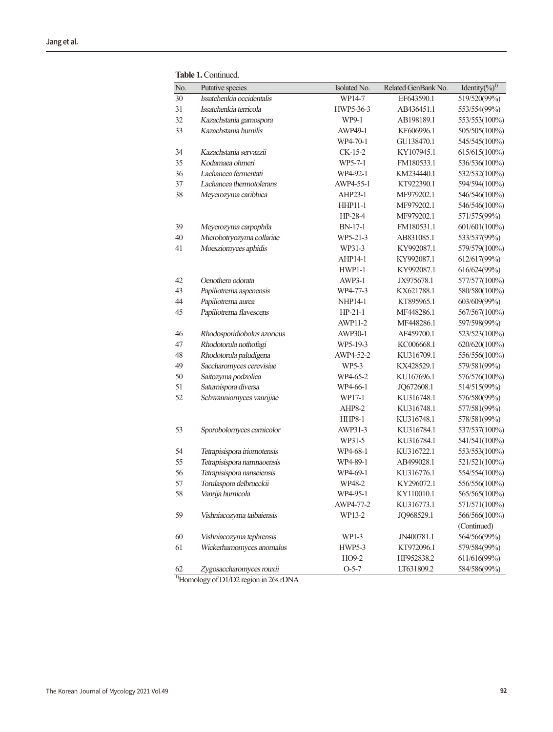| No. | Putative species            | Isolated No.   | Related GenBank No. | Identity(%) <sup>1)</sup> |
|-----|-----------------------------|----------------|---------------------|---------------------------|
| 30  | Issatchenkia occidentalis   | WP14-7         | EF643590.1          | 519/520(99%)              |
| 31  | Issatchenkia terricola      | HWP5-36-3      | AB436451.1          | 553/554(99%)              |
| 32  | Kazachstania gamospora      | WP9-1          | AB198189.1          | 553/553(100%)             |
| 33  | Kazachstania humilis        | AWP49-1        | KF606996.1          | 505/505(100%)             |
|     |                             | WP4-70-1       | GU138470.1          | 545/545(100%)             |
| 34  | Kazachstania servazzii      | $CK-15-2$      | KY107945.1          | 615/615(100%)             |
| 35  | Kodamaea ohmeri             | WP5-7-1        | FM180533.1          | 536/536(100%)             |
| 36  | Lachancea fermentati        | WP4-92-1       | KM234440.1          | 532/532(100%)             |
| 37  | Lachancea thermotolerans    | AWP4-55-1      | KT922390.1          | 594/594(100%)             |
| 38  | Meyerozyma caribbica        | AHP23-1        | MF979202.1          | 546/546(100%)             |
|     |                             | <b>HHP11-1</b> | MF979202.1          | 546/546(100%)             |
|     |                             | HP-28-4        | MF979202.1          | 571/575(99%)              |
| 39  | Meyerozyma carpophila       | BN-17-1        | FM180531.1          | 601/601(100%)             |
| 40  | Microbotryozyma collariae   | WP5-21-3       | AB831085.1          | 533/537(99%)              |
| 41  | Moesziomyces aphidis        | WP31-3         | KY992087.1          | 579/579(100%)             |
|     |                             | AHP14-1        | KY992087.1          | 612/617(99%)              |
|     |                             | <b>HWP1-1</b>  | KY992087.1          | 616/624(99%)              |
| 42  | Oenothera odorata           | AWP3-1         | JX975678.1          | 577/577(100%)             |
| 43  | Papiliotrema aspenensis     | WP4-77-3       | KX621788.1          | 580/580(100%)             |
| 44  | Papiliotrema aurea          | <b>NHP14-1</b> | KT895965.1          | 603/609(99%)              |
| 45  | Papiliotrema flavescens     | $HP-21-1$      | MF448286.1          | 567/567(100%)             |
|     |                             | <b>AWP11-2</b> | MF448286.1          | 597/598(99%)              |
| 46  | Rhodosporidiobolus azoricus | AWP30-1        | AF459700.1          | 523/523(100%)             |
| 47  | Rhodotorula nothofagi       | WP5-19-3       | KC006668.1          | 620/620(100%)             |
| 48  | Rhodotorula paludigena      | AWP4-52-2      | KU316709.1          | 556/556(100%)             |
| 49  | Saccharomyces cerevisiae    | WP5-3          | KX428529.1          | 579/581(99%)              |
| 50  | Saitozyma podzolica         | WP4-65-2       | KU167696.1          | 576/576(100%)             |
| 51  | Saturnispora diversa        | WP4-66-1       | JQ672608.1          | 514/515(99%)              |
| 52  | Schwanniomyces vanrijiae    | WP17-1         | KU316748.1          | 576/580(99%)              |
|     |                             | AHP8-2         | KU316748.1          | 577/581(99%)              |
|     |                             | <b>HHP8-1</b>  | KU316748.1          | 578/581(99%)              |
| 53  | Sporobolomyces carnicolor   | AWP31-3        | KU316784.1          | 537/537(100%)             |
|     |                             | WP31-5         | KU316784.1          | 541/541(100%)             |
| 54  | Tetrapisispora iriomotensis | WP4-68-1       | KU316722.1          | 553/553(100%)             |
| 55  | Tetrapisispora namnaoensis  | WP4-89-1       | AB499028.1          | 521/521(100%)             |
| 56  | Tetrapisispora nanseiensis  | WP4-69-1       | KU316776.1          | 554/554(100%)             |
| 57  | Torulaspora delbrueckii     | WP48-2         | KY296072.1          | 556/556(100%)             |
| 58  | Vanrija humicola            | WP4-95-1       | KY110010.1          | 565/565(100%)             |
|     |                             | AWP4-77-2      | KU316773.1          | 571/571(100%)             |
| 59  | Vishniacozyma taibaiensis   | WP13-2         | JQ968529.1          | 566/566(100%)             |
|     |                             |                |                     | (Continued)               |
| 60  | Vishniacozyma tephrensis    | WP1-3          | JN400781.1          | 564/566(99%)              |
| 61  | Wickerhamomyces anomalus    | <b>HWP5-3</b>  | KT972096.1          | 579/584(99%)              |
|     |                             | HO9-2          | HF952838.2          | 611/616(99%)              |
| 62  | Zygosaccharomyces rouxii    | $O-5-7$        | LT631809.2          | 584/586(99%)              |

**Table 1.** Continued.

<sup>1)</sup>Homology of D1/D2 region in 26s rDNA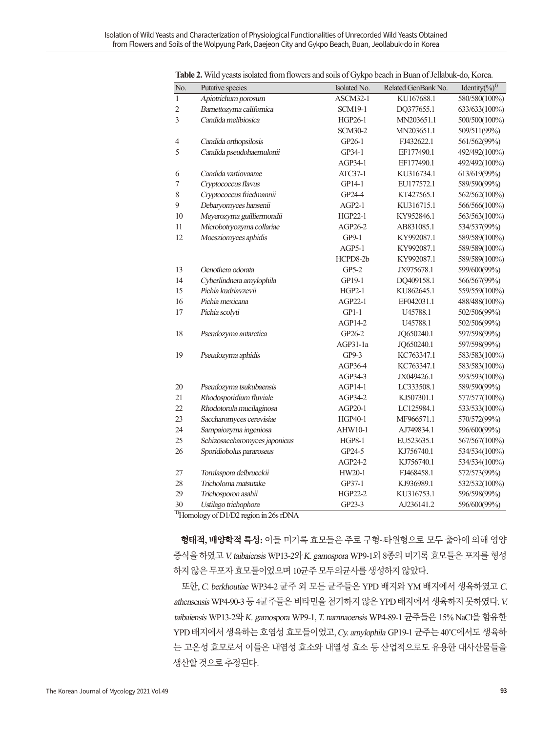| No.              | Putative species              | Isolated No.   | Related GenBank No. | Identity(%) <sup>1)</sup> |
|------------------|-------------------------------|----------------|---------------------|---------------------------|
| $\mathbf{1}$     | Apiotrichum porosum           | ASCM32-1       | KU167688.1          | 580/580(100%)             |
| $\boldsymbol{2}$ | Barnettozyma californica      | <b>SCM19-1</b> | DQ377655.1          | 633/633(100%)             |
| $\overline{3}$   | Candida melibiosica           | HGP26-1        | MN203651.1          | 500/500(100%)             |
|                  |                               | <b>SCM30-2</b> | MN203651.1          | 509/511(99%)              |
| $\overline{4}$   | Candida orthopsilosis         | GP26-1         | FJ432622.1          | 561/562(99%)              |
| 5                | Candida pseudohaemulonii      | GP34-1         | EF177490.1          | 492/492(100%)             |
|                  |                               | AGP34-1        | EF177490.1          | 492/492(100%)             |
| $\sqrt{6}$       | Candida vartiovaarae          | ATC37-1        | KU316734.1          | 613/619(99%)              |
| $\overline{7}$   | Cryptococcus flavus           | GP14-1         | EU177572.1          | 589/590(99%)              |
| $\,$ $\,$        | Cryptococcus friedmannii      | GP24-4         | KT427565.1          | 562/562(100%)             |
| 9                | Debaryomyces hansenii         | $AGP2-1$       | KU316715.1          | 566/566(100%)             |
| 10               | Meyerozyma guilliermondii     | HGP22-1        | KY952846.1          | 563/563(100%)             |
| 11               | Microbotryozyma collariae     | AGP26-2        | AB831085.1          | 534/537(99%)              |
| 12               | Moesziomyces aphidis          | $GP9-1$        | KY992087.1          | 589/589(100%)             |
|                  |                               | AGP5-1         | KY992087.1          | 589/589(100%)             |
|                  |                               | HCPD8-2b       | KY992087.1          | 589/589(100%)             |
| 13               | Oenothera odorata             | $GP5-2$        | JX975678.1          | 599/600(99%)              |
| 14               | Cyberlindnera amylophila      | GP19-1         | DQ409158.1          | 566/567(99%)              |
| 15               | Pichia kudriavzevii           | $HGP2-1$       | KU862645.1          | 559/559(100%)             |
| 16               | Pichia mexicana               | AGP22-1        | EF042031.1          | 488/488(100%)             |
| 17               | Pichia scolyti                | $GP1-1$        | U45788.1            | 502/506(99%)              |
|                  |                               | AGP14-2        | U45788.1            | 502/506(99%)              |
| 18               | Pseudozyma antarctica         | GP26-2         | JQ650240.1          | 597/598(99%)              |
|                  |                               | AGP31-1a       | JQ650240.1          | 597/598(99%)              |
| 19               | Pseudozyma aphidis            | GP9-3          | KC763347.1          | 583/583(100%)             |
|                  |                               | AGP36-4        | KC763347.1          | 583/583(100%)             |
|                  |                               | AGP34-3        | JX049426.1          | 593/593(100%)             |
| 20               | Pseudozyma tsukubaensis       | AGP14-1        | LC333508.1          | 589/590(99%)              |
| 21               | Rhodosporidium fluviale       | AGP34-2        | KJ507301.1          | 577/577(100%)             |
| 22               | Rhodotorula mucilaginosa      | AGP20-1        | LC125984.1          | 533/533(100%)             |
| 23               | Saccharomyces cerevisiae      | HGP40-1        | MF966571.1          | 570/572(99%)              |
| 24               | Sampaiozyma ingeniosa         | AHW10-1        | AJ749834.1          | 596/600(99%)              |
| 25               | Schizosaccharomyces japonicus | <b>HGP8-1</b>  | EU523635.1          | 567/567(100%)             |
| 26               | Sporidiobolus pararoseus      | GP24-5         | KJ756740.1          | 534/534(100%)             |
|                  |                               | AGP24-2        | KJ756740.1          | 534/534(100%)             |
| $27\,$           | Torulaspora delbrueckii       | HW20-1         | FJ468458.1          | 572/573(99%)              |
| 28               | Tricholoma matsutake          | GP37-1         | KJ936989.1          | 532/532(100%)             |
| 29               | Trichosporon asahii           | HGP22-2        | KU316753.1          | 596/598(99%)              |
| 30               | Ustilago trichophora          | GP23-3         | AJ236141.2          | 596/600(99%)              |

**Table 2.** Wild yeasts isolated from flowers and soils of Gykpo beach in Buan of Jellabuk-do, Korea.

1)Homology of D1/D2 region in 26s rDNA

**형태적, 배양학적 특성:** 이들 미기록 효모들은 주로 구형~타원형으로 모두 출아에 의해 영양 증식을 하였고 V. taibaiensis WP13-2와 K. gamospora WP9-1외 8종의 미기록 효모들은 포자를 형성 하지않은무포자효모들이었으며 10균주모두의균사를생성하지않았다.

또한, C. berkhoutiae WP34-2 균주 외 모든 균주들은 YPD 배지와 YM 배지에서 생육하였고 C. athensensis WP4-90-3 등 4균주들은 비타민을 첨가하지 않은 YPD 배지에서 생육하지 못하였다. V. taibaiensis WP13-2와 K. gamospora WP9-1, T. namnaoensis WP4-89-1 균주들은 15% NaCl을 함유한 YPD 배지에서 생육하는 호염성 효모들이었고, Cy. amylophila GP19-1 균주는 40˚C에서도 생육하 는 고온성 효모로서 이들은 내염성 효소와 내열성 효소 등 산업적으로도 유용한 대사산물들을 생산할것으로추정된다.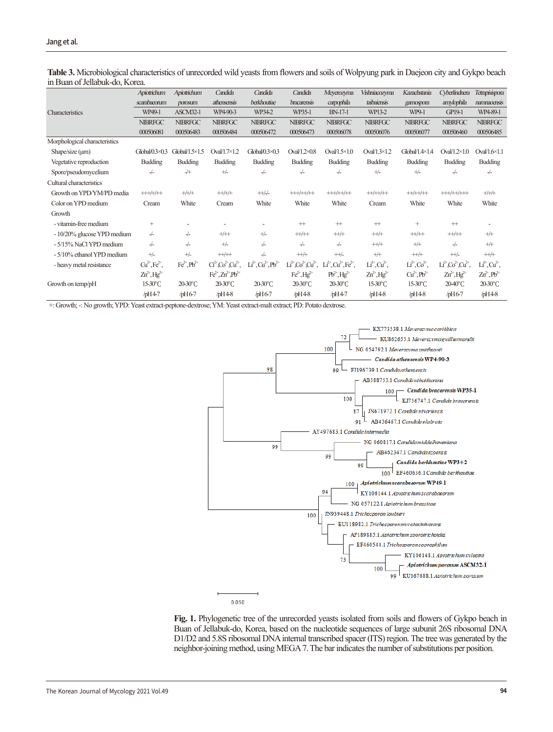|                               | Apiotrichum                  | Apiotrichum           | Candida                            | Candida                           | Candida                      | Meyerozyma                                          | Vishniacozyma                | Kazachstania            | Cyberlindnera                | Tetrapisispora          |
|-------------------------------|------------------------------|-----------------------|------------------------------------|-----------------------------------|------------------------------|-----------------------------------------------------|------------------------------|-------------------------|------------------------------|-------------------------|
|                               | scarabaeorum                 | porosum               | athensensis                        | berkhoutiae                       | bracarensis                  | carpophila                                          | taibaiensis                  | gamospora               | amylophila                   | namnaoensis             |
| Characteristics               | WP49-1                       | ASCM32-1              | WP4-90-3                           | WP34-2                            | WP35-1                       | <b>BN-17-1</b>                                      | WP13-2                       | WP9-1                   | <b>GP19-1</b>                | WP4-89-1                |
|                               | <b>NIBRFGC</b>               | <b>NIBRFGC</b>        | <b>NIBRFGC</b>                     | <b>NIBRFGC</b>                    | <b>NIBRFGC</b>               | <b>NIBRFGC</b>                                      | <b>NIBRFGC</b>               | <b>NIBRFGC</b>          | <b>NIBRFGC</b>               | <b>NIBRFGC</b>          |
|                               | 000506081                    | 000506483             | 000506484                          | 000506472                         | 000506473                    | 000506078                                           | 000506076                    | 000506077               | 000506460                    | 000506485               |
| Morphological characteristics |                              |                       |                                    |                                   |                              |                                                     |                              |                         |                              |                         |
| Shape/size $(\mu m)$          | Global $0.3 \times 0.3$      | $Global/1.5\times1.5$ | Oval $/1.7\times1.2$               | Global $0.3 \times 0.3$           | Oval $/1.2 \times 0.8$       | Oval $/1.5 \times 1.0$                              | Oval $/1.3 \times 1.2$       | $Global/1.4\times1.4$   | Oval $/1.2 \times 1.0$       | Oval $/1.6 \times 1.1$  |
| Vegetative reproduction       | <b>Budding</b>               | <b>Budding</b>        | <b>Budding</b>                     | <b>Budding</b>                    | <b>Budding</b>               | <b>Budding</b>                                      | <b>Budding</b>               | <b>Budding</b>          | <b>Budding</b>               | <b>Budding</b>          |
| Spore/pseudomycelium          | $-/-$                        | $+$                   | $+\sqrt{-}$                        | $-/-$                             | $-/-$                        | $-/-$                                               | $+\sqrt{-}$                  | $+\sqrt{-}$             | $-/-$                        | $-/-$                   |
| Cultural characteristics      |                              |                       |                                    |                                   |                              |                                                     |                              |                         |                              |                         |
| Growth on YPD/YM/PD media     | $++++/+/++$                  | $+/+/+$               | $++/+/+$                           | $+\frac{1}{2}$                    | $+++/++/++$                  | $++++/++/++$                                        | $++/++/++$                   | $++/++/++$              | $+++/++/+++$                 | $+/+/+$                 |
| Color on YPD medium           | Cream                        | White                 | Cream                              | White                             | White                        | White                                               | Cream                        | White                   | White                        | White                   |
| Growth                        |                              |                       |                                    |                                   |                              |                                                     |                              |                         |                              |                         |
| - vitamin-free medium         | $^{+}$                       |                       |                                    |                                   | $+ +$                        | $^{+}$                                              | $^{+}$                       | $^{+}$                  | $+ +$                        |                         |
| - 10/20% glucose YPD medium   | $-/-$                        | $-/-$                 | $+$ / $+$                          | $+\sqrt{-}$                       | $^{++/+}$                    | $++/+$                                              | $++/+$                       | $++/++$                 | $++++$                       | $+/-$                   |
| - 5/15% NaCl YPD medium       | $-/-$                        | $\frac{1}{2}$         | $+\sqrt{-}$                        | $-/-$                             | $-/-$                        | $-/-$                                               | $^{++/+}$                    | $+/-$                   | $-/-$                        | $+$                     |
| - 5/10% ethanol YPD medium    | $+/-$                        | $+\sqrt{-}$           | $+\!+\!/\!+\!+$                    | $-/-$                             | $+\frac{1}{2}$               | $+/-$                                               | $+/-$                        | $++/+$                  | $+\frac{1}{2}$               | $+ + +$                 |
| - heavy metal resistance      | $Cu^{2+}$ , $Fe^{2+}$ ,      | $Fe^{2+}$ , $Pb^{2+}$ | $C^{2+}$ , $Co^{2+}$ , $Cu^{2+}$ , | $Li^{2+}$ , $Cu^{2+}$ , $Pb^{2+}$ |                              | $Li2+ Co2+ Cu2+$ , $Li2+ Cu2+$ , Fe <sup>2+</sup> , | $Li^{2+}$ , $Cu^{2+}$ ,      | $Li^{2+}$ , $Co^{2+}$ , | $Li^{2+}CO^{2+}Cu^{2+}$ .    | $Li^{2+}$ , $Cu^{2+}$ , |
|                               | $Zn^{2+}$ , Hg <sup>2+</sup> |                       | $Fe^{2+}$ , $Zn^{2+}Pb^{2+}$       |                                   | $Fe^{2+}$ , Hg <sup>2+</sup> | $Pb^{2+}$ , Hg <sup>2+</sup>                        | $Zn^{2+}$ , Hg <sup>2+</sup> | $Cu2+, Pb2+$            | $Zn^{2+}$ , Hg <sup>2+</sup> | $Zn^{2+}$ , $Pb^{2+}$   |
| Growth on temp/pH             | $15-30$ °C                   | $20-30$ °C            | $20-30$ °C                         | $20-30$ °C                        | $20-30$ °C                   | $20-30$ °C                                          | $15-30$ °C                   | $15-30$ °C              | $20-40^{\circ}$ C            | $20-30$ °C              |
|                               | $/bH4-7$                     | $/$ pH6-7             | $/$ pH4-8                          | $/$ pH6-7                         | $/$ pH4-8                    | $/bH4-7$                                            | $/bH4-8$                     | $/bH4-8$                | $/$ pH6-7                    | $/bH4-8$                |

**Table 3.** Microbiological characteristics of unrecorded wild yeasts from flowers and soils of Wolpyung park in Daejeon city and Gykpo beach in Buan of Jellabuk-do, Korea.

+: Growth; -: No growth; YPD: Yeast extract-peptone-dextrose; YM: Yeast extract-malt extract; PD: Potato dextrose.



0.050

**Fig. 1.** Phylogenetic tree of the unrecorded yeasts isolated from soils and flowers of Gykpo beach in Buan of Jellabuk-do, Korea, based on the nucleotide sequences of large subunit 26S ribosomal DNA D1/D2 and 5.8S ribosomal DNA internal transcribed spacer (ITS) region. The tree was generated by the neighbor-joining method, using MEGA 7. The bar indicates the number of substitutions per position.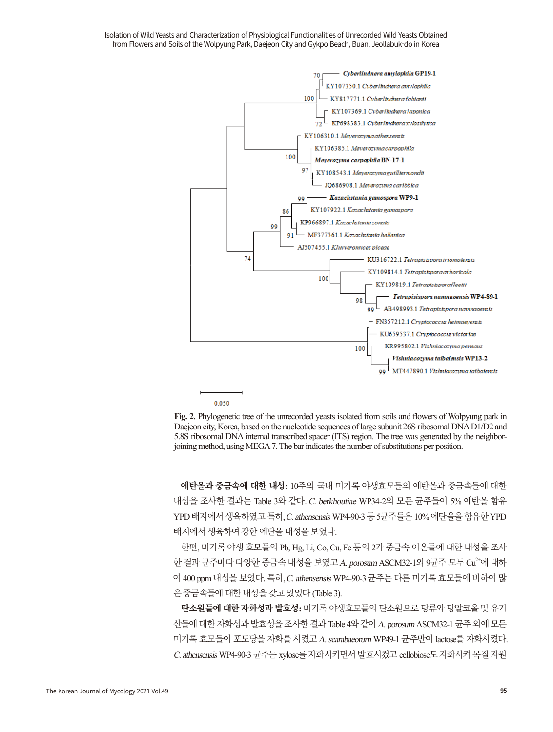

0.050

**Fig. 2.** Phylogenetic tree of the unrecorded yeasts isolated from soils and flowers of Wolpyung park in Daejeon city, Korea, based on the nucleotide sequences of large subunit 26S ribosomal DNA D1/D2 and 5.8S ribosomal DNA internal transcribed spacer (ITS) region. The tree was generated by the neighborjoining method, using MEGA 7. The bar indicates the number of substitutions per position.

**에탄올과 중금속에 대한 내성:** 10주의 국내 미기록 야생효모들의 에탄올과 중금속들에 대한 내성을 조사한 결과는 Table 3와 같다. C. berkhoutiae WP34-2외 모든 균주들이 5% 에탄올 함유 YPD 배지에서 생육하였고 특히, C. athensensis WP4-90-3 등 5균주들은 10% 에탄올을 함유한 YPD 배지에서생육하여강한에탄올내성을보였다.

한편, 미기록 야생 효모들의 Pb, Hg, Li, Co, Cu, Fe 등의 2가 중금속 이온들에 대한 내성을 조사 한 결과 균주마다 다양한 중금속 내성을 보였고 A. porosum ASCM32-1외 9균주 모두 Cu<sup>2+</sup>에 대하 여 400 ppm 내성을 보였다. 특히, C. athensensis WP4-90-3 균주는 다른 미기록 효모들에 비하여 많 은 중금속들에 대한 내성을 갖고 있었다 (Table 3).

**탄소원들에 대한 자화성과 발효성:** 미기록 야생효모들의 탄소원으로 당류와 당알코올 및 유기 산들에 대한 자화성과 발효성을 조사한 결과 Table 4와 같이 A. porosum ASCM32-1 균주 외에 모든 미기록 효모들이 포도당을 자화를 시켰고A. scarabaeorum WP49-1 균주만이 lactose를 자화시켰다. C. athensensis WP4-90-3 균주는 xylose를 자화시키면서 발효시켰고 cellobiose도 자화시켜 목질 자원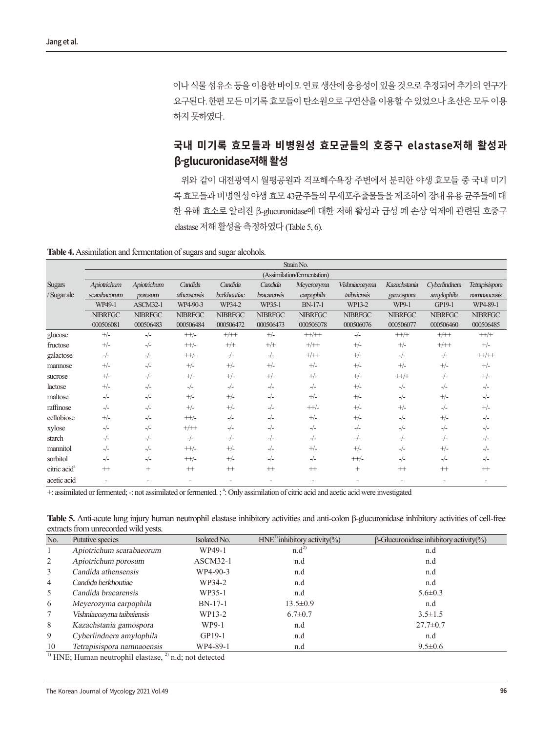이나 식물 섬유소 등을 이용한 바이오 연료 생산에 응용성이 있을 것으로 추정되어 추가의 연구가 요구된다. 한편모든미기록효모들이탄소원으로구연산을이용할수있었으나초산은모두이용 하지못하였다.

#### **국내 미기록 효모들과 비병원성 효모균들의 호중구 elastase저해 활성과 β-glucuronidase저해 활성**

위와 같이 대전광역시 월평공원과 격포해수욕장 주변에서 분리한 야생 효모들 중 국내 미기 록 효모들과 비병원성 야생 효모 43균주들의 무세포추출물들을 제조하여 장내 유용 균주들에 대 한 유해 효소로 알려진 β-glucuronidase에 대한 저해 활성과 급성 폐 손상 억제에 관련된 호중구 elastase 저해활성을측정하였다 (Table 5, 6).

**Table 4.** Assimilation and fermentation of sugars and sugar alcohols.

|                          | Strain No.     |                    |                |                |                |                             |                |                |                |                                                  |  |  |
|--------------------------|----------------|--------------------|----------------|----------------|----------------|-----------------------------|----------------|----------------|----------------|--------------------------------------------------|--|--|
|                          |                |                    |                |                |                | (Assimilation/fermentation) |                |                |                |                                                  |  |  |
| <b>Sugars</b>            | Apiotrichum    | Apiotrichum        | Candida        | Candida        | Candida        | Meyerozyma                  | Vishniacozyma  | Kazachstania   | Cyberlindnera  | Tetrapisispora                                   |  |  |
| / Sugar alc              | scarabaeorum   | porosum            | athensensis    | berkhoutiae    | bracarensis    | carpophila                  | taibaiensis    | gamospora      | amylophila     | namnaoensis                                      |  |  |
|                          | WP49-1         | ASCM32-1           | WP4-90-3       | WP34-2         | WP35-1         | <b>BN-17-1</b>              | WP13-2         | WP9-1          | GP19-1         | WP4-89-1                                         |  |  |
|                          | <b>NIBRFGC</b> | <b>NIBRFGC</b>     | <b>NIBRFGC</b> | <b>NIBRFGC</b> | <b>NIBRFGC</b> | <b>NIBRFGC</b>              | <b>NIBRFGC</b> | <b>NIBRFGC</b> | <b>NIBRFGC</b> | <b>NIBRFGC</b>                                   |  |  |
|                          | 000506081      | 000506483          | 000506484      | 000506472      | 000506473      | 000506078                   | 000506076      | 000506077      | 000506460      | 000506485                                        |  |  |
| glucose                  | $+/-$          | $-/-$              | $++/-$         | $+/+$          | $+/-$          | $++/++$                     | $-/-$          | $++/+$         | $+/+$          | $++/+$                                           |  |  |
| fructose                 | $+/-$          | $-/-$              | $++/-$         | $+/-$          | $+/+$          | $+/+$                       | $+/-$          | $+/-$          | $+/+$          | $+/-$                                            |  |  |
| galactose                | $-/-$          | $-/-$              | $++/-$         | $-/-$          | $-/-$          | $+/+$                       | $+/-$          | $-/-$          | $-/-$          | $\boldsymbol{++}\boldsymbol{/}{\boldsymbol{++}}$ |  |  |
| mannose                  | $+/-$          | $-/-$              | $+/-$          | $+/-$          | $+/-$          | $+/-$                       | $+/-$          | $+/-$          | $+/-$          | $+/-$                                            |  |  |
| sucrose                  | $+/-$          | $-/-$              | $+/-$          | $+/-$          | $+/-$          | $+/-$                       | $+/-$          | $++/+$         | $-/-$          | $+/-$                                            |  |  |
| lactose                  | $+/-$          | $-/-$              | $-/-$          | $-/-$          | $-/-$          | $-/-$                       | $+/-$          | $-/-$          | $-/-$          | $-/-$                                            |  |  |
| maltose                  | $-/-$          | $-/-$              | $+/-$          | $+/-$          | $-/-$          | $+/-$                       | $+/-$          | $-/-$          | $+/-$          | $-/-$                                            |  |  |
| raffinose                | $-/-$          | $-/-$              | $+/-$          | $+/-$          | $-/-$          | $+$ /-                      | $+/-$          | $+/-$          | $-/-$          | $+/-$                                            |  |  |
| cellobiose               | $+/-$          | $-/-$              | $+\frac{1}{2}$ | $-/-$          | $-/-$          | $+/-$                       | $+/-$          | $-/-$          | $+/-$          | $-/-$                                            |  |  |
| xylose                   | $-/-$          | $-/-$              | $+/+$          | $-/-$          | $-/-$          | $-/-$                       | $-/-$          | $-/-$          | $-/-$          | $-/-$                                            |  |  |
| starch                   | $-/-$          | $-/-$              | $-/-$          | $-/-$          | $-/-$          | $-/-$                       | $-/-$          | $-/-$          | $-/-$          | $-/-$                                            |  |  |
| mannitol                 | $-/-$          | $-/-$              | $++/-$         | $+/-$          | $-/-$          | $+/-$                       | $+/-$          | $-/-$          | $+/-$          | $-/-$                                            |  |  |
| sorbitol                 | $-/-$          | $-/-$              | $++/-$         | $+/-$          | $-/-$          | $-/-$                       | $++/$          | $-/-$          | $-/-$          | $-/-$                                            |  |  |
| citric acid <sup>a</sup> | $^{+}$         | $\hspace{0.1mm} +$ | $^{++}$        | $^{+}$         | $^{++}$        | $^{+}$                      | $^+$           | $+$            | $+ +$          | $^{+}$                                           |  |  |
| acetic acid              |                |                    | ۰              |                |                |                             |                |                |                |                                                  |  |  |

+: assimilated or fermented; -: not assimilated or fermented. ; <sup>a</sup>: Only assimilation of citric acid and acetic acid were investigated

**Table 5.** Anti-acute lung injury human neutrophil elastase inhibitory activities and anti-colon β-glucuronidase inhibitory activities of cell-free extracts from unrecorded wild yests.

| No. | Putative species           | Isolated No. | $HNE1$ inhibitory activity(%) | $\beta$ -Glucuronidase inhibitory activity(%) |
|-----|----------------------------|--------------|-------------------------------|-----------------------------------------------|
|     | Apiotrichum scarabaeorum   | WP49-1       | $n.d^{2}$                     | n.d                                           |
| 2   | Apiotrichum porosum        | $ASCM32-1$   | n.d                           | n.d                                           |
| 3   | Candida athensensis        | WP4-90-3     | n.d                           | n.d                                           |
| 4   | Candida berkhoutiae        | WP34-2       | n.d                           | n.d                                           |
| 5   | Candida bracarensis        | WP35-1       | n.d                           | $5.6 \pm 0.3$                                 |
| 6   | Meyerozyma carpophila      | $BN-17-1$    | $13.5 \pm 0.9$                | n.d                                           |
| 7   | Vishniacozyma taibaiensis  | WP13-2       | $6.7 \pm 0.7$                 | $3.5 \pm 1.5$                                 |
| 8   | Kazachstania gamospora     | WP9-1        | n.d                           | $27.7 \pm 0.7$                                |
| 9   | Cyberlindnera amylophila   | $GP19-1$     | n.d                           | n.d                                           |
| 10  | Tetrapisispora namnaoensis | WP4-89-1     | n.d                           | $9.5 \pm 0.6$                                 |

 $\overline{1}$ <sup>1)</sup> HNE; Human neutrophil elastase,  $\overline{2}$ <sup>2</sup>) n.d; not detected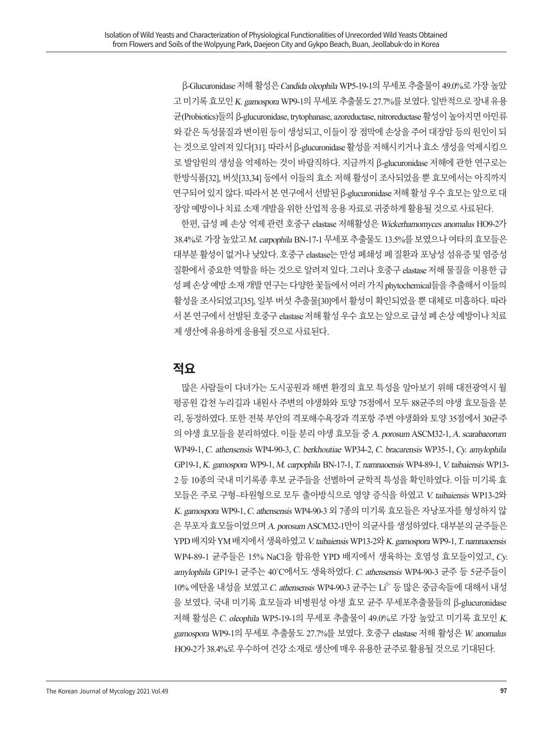β-Glucuronidase 저해 활성은Candida oleophila WP5-19-1의 무세포 추출물이 49.0%로 가장 높았 고 미기록 효모인 K. gamospora WP9-1의 무세포 추출물도 27.7%를 보였다. 일반적으로 장내 유용 균(Probiotics)들의 β-glucuronidase, trytophanase, azoreductase, nitroreductase 활성이 높아지면 아민류 와 같은 독성물질과 변이원 등이 생성되고, 이들이 장 점막에 손상을 주어 대장암 등의 원인이 되 는 것으로 알려져 있다[31]. 따라서 β-glucuronidase 활성을 저해시키거나 효소 생성을 억제시킴으 로 발암원의 생성을 억제하는 것이 바람직하다. 지금까지 β-glucuronidase 저해에 관한 연구로는 한방식품[32], 버섯[33,34] 등에서 이들의 효소 저해 활성이 조사되었을 뿐 효모에서는 아직까지 연구되어 있지 않다. 따라서 본 연구에서 선발된 β-glucuronidase 저해 활성 우수 효모는 앞으로 대 장암예방이나치료소재개발을위한산업적응용자료로귀중하게활용될것으로사료된다.

한편, 급성 폐 손상 억제 관련 호중구 elastase 저해활성은 Wickerhamomyces anomalus HO9-2가 38.4%로 가장 높았고M. carpophila BN-17-1 무세포 추출물도 13.5%를 보였으나 여타의 효모들은 대부분 활성이 없거나 낮았다. 호중구 elastase는 만성 폐쇄성 폐 질환과 포낭성 섬유증 및 염증성 질환에서 중요한 역할을 하는 것으로 알려져 있다. 그러나 호중구 elastase 저해 물질을 이용한 급 성 폐 손상 예방 소재 개발 연구는 다양한 꽃들에서 여러 가지 phytochemical들을 추출해서 이들의 활성을 조사되었고[35], 일부 버섯 추출물[30]에서 활성이 확인되었을 뿐 대체로 미흡하다. 따라 서 본 연구에서 선발된 호중구 elastase 저해 활성 우수 효모는 앞으로 급성 폐 손상 예방이나 치료 제 생산에 유용하게 응용될 것으로 사료된다.

#### **적요**

많은 사람들이 다녀가는 도시공원과 해변 환경의 효모 특성을 알아보기 위해 대전광역시 월 평공원 갑천 누리길과 내원사 주변의 야생화와 토양 75점에서 모두 88균주의 야생 효모들을 분 리, 동정하였다. 또한 전북 부안의 격포해수욕장과 격포항 주변 야생화와 토양 35점에서 30균주 의 야생 효모들을 분리하였다. 이들 분리 야생 효모들 중A. porosum ASCM32-1, A. scarabaeorum WP49-1, C. athensensis WP4-90-3, C. berkhoutiae WP34-2, C. bracarensis WP35-1, Cy. amylophila GP19-1, K. gamospora WP9-1, M. carpophila BN-17-1, T. namnaoensis WP4-89-1, V. taibaiensis WP13- 2 등 10종의 국내 미기록종 후보 균주들을 선별하여 균학적 특성을 확인하였다. 이들 미기록 효 모들은 주로 구형~타원형으로 모두 출아방식으로 영양 증식을 하였고 V. taibaiensis WP13-2와 K. gamospora WP9-1, C. athensensis WP4-90-3 외 7종의 미기록 효모들은 자낭포자를 형성하지 않 은 무포자 효모들이었으며 A. porosum ASCM32-1만이 의균사를 생성하였다. 대부분의 균주들은 YPD 배지와 YM 배지에서 생육하였고 V. taibaiensis WP13-2와 K. gamospora WP9-1, T. namnaoensis WP4-89-1 균주들은 15% NaCl을 함유한 YPD 배지에서 생육하는 호염성 효모들이었고, Cy. amylophila GP19-1 균주는 40˚C에서도 생육하였다. C. athensensis WP4-90-3 균주 등 5균주들이 10% 에탄올 내성을 보였고 C. athensensis WP4-90-3 균주는 Li<sup>2+</sup> 등 많은 중금속들에 대해서 내성 을 보였다. 국내 미기록 효모들과 비병원성 야생 효모 균주 무세포추출물들의 β-glucuronidase 저해 활성은 C. oleophila WP5-19-1의 무세포 추출물이 49.0%로 가장 높았고 미기록 효모인 K. gamospora WP9-1의 무세포 추출물도 27.7%를 보였다. 호중구 elastase 저해 활성은 W. anomalus HO9-2가 38.4%로 우수하여 건강 소재로 생산에 매우 유용한 균주로 활용될 것으로 기대된다.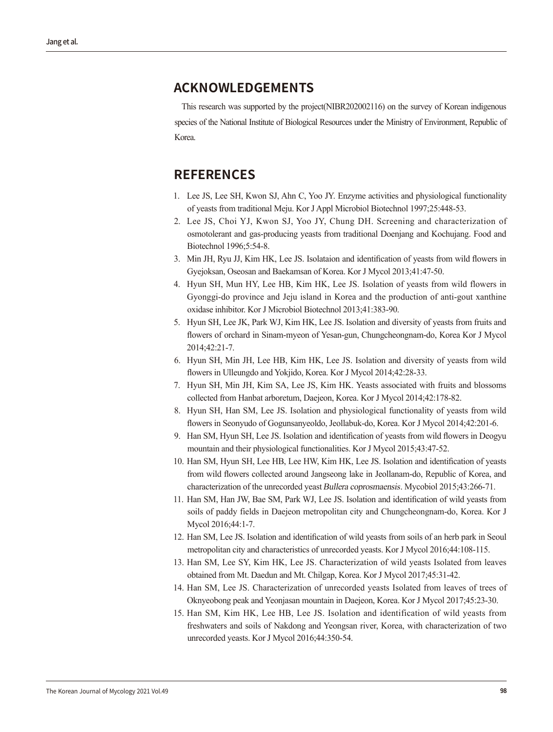#### **ACKNOWLEDGEMENTS**

This research was supported by the project(NIBR202002116) on the survey of Korean indigenous species of the National Institute of Biological Resources under the Ministry of Environment, Republic of Korea.

#### **REFERENCES**

- 1. Lee JS, Lee SH, Kwon SJ, Ahn C, Yoo JY. Enzyme activities and physiological functionality of yeasts from traditional Meju. Kor J Appl Microbiol Biotechnol 1997;25:448-53.
- 2. Lee JS, Choi YJ, Kwon SJ, Yoo JY, Chung DH. Screening and characterization of osmotolerant and gas-producing yeasts from traditional Doenjang and Kochujang. Food and Biotechnol 1996;5:54-8.
- 3. Min JH, Ryu JJ, Kim HK, Lee JS. Isolataion and identification of yeasts from wild flowers in Gyejoksan, Oseosan and Baekamsan of Korea. Kor J Mycol 2013;41:47-50.
- 4. Hyun SH, Mun HY, Lee HB, Kim HK, Lee JS. Isolation of yeasts from wild flowers in Gyonggi-do province and Jeju island in Korea and the production of anti-gout xanthine oxidase inhibitor. Kor J Microbiol Biotechnol 2013;41:383-90.
- 5. Hyun SH, Lee JK, Park WJ, Kim HK, Lee JS. Isolation and diversity of yeasts from fruits and flowers of orchard in Sinam-myeon of Yesan-gun, Chungcheongnam-do, Korea Kor J Mycol 2014;42:21-7.
- 6. Hyun SH, Min JH, Lee HB, Kim HK, Lee JS. Isolation and diversity of yeasts from wild flowers in Ulleungdo and Yokjido, Korea. Kor J Mycol 2014;42:28-33.
- 7. Hyun SH, Min JH, Kim SA, Lee JS, Kim HK. Yeasts associated with fruits and blossoms collected from Hanbat arboretum, Daejeon, Korea. Kor J Mycol 2014;42:178-82.
- 8. Hyun SH, Han SM, Lee JS. Isolation and physiological functionality of yeasts from wild flowers in Seonyudo of Gogunsanyeoldo, Jeollabuk-do, Korea. Kor J Mycol 2014;42:201-6.
- 9. Han SM, Hyun SH, Lee JS. Isolation and identification of yeasts from wild flowers in Deogyu mountain and their physiological functionalities. Kor J Mycol 2015;43:47-52.
- 10. Han SM, Hyun SH, Lee HB, Lee HW, Kim HK, Lee JS. Isolation and identification of yeasts from wild flowers collected around Jangseong lake in Jeollanam-do, Republic of Korea, and characterization of the unrecorded yeast Bullera coprosmaensis. Mycobiol 2015;43:266-71.
- 11. Han SM, Han JW, Bae SM, Park WJ, Lee JS. Isolation and identification of wild yeasts from soils of paddy fields in Daejeon metropolitan city and Chungcheongnam-do, Korea. Kor J Mycol 2016;44:1-7.
- 12. Han SM, Lee JS. Isolation and identification of wild yeasts from soils of an herb park in Seoul metropolitan city and characteristics of unrecorded yeasts. Kor J Mycol 2016;44:108-115.
- 13. Han SM, Lee SY, Kim HK, Lee JS. Characterization of wild yeasts Isolated from leaves obtained from Mt. Daedun and Mt. Chilgap, Korea. Kor J Mycol 2017;45:31-42.
- 14. Han SM, Lee JS. Characterization of unrecorded yeasts Isolated from leaves of trees of Oknyeobong peak and Yeonjasan mountain in Daejeon, Korea. Kor J Mycol 2017;45:23-30.
- 15. Han SM, Kim HK, Lee HB, Lee JS. Isolation and identification of wild yeasts from freshwaters and soils of Nakdong and Yeongsan river, Korea, with characterization of two unrecorded yeasts. Kor J Mycol 2016;44:350-54.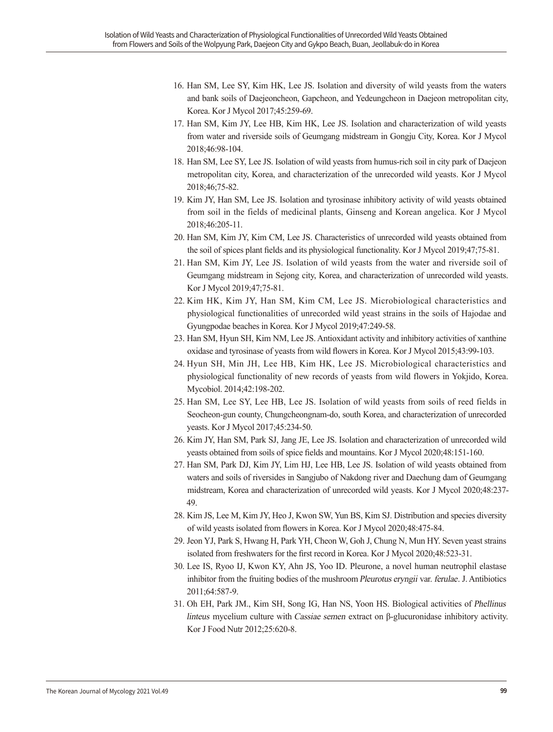- 16. Han SM, Lee SY, Kim HK, Lee JS. Isolation and diversity of wild yeasts from the waters and bank soils of Daejeoncheon, Gapcheon, and Yedeungcheon in Daejeon metropolitan city, Korea. Kor J Mycol 2017;45:259-69.
- 17. Han SM, Kim JY, Lee HB, Kim HK, Lee JS. Isolation and characterization of wild yeasts from water and riverside soils of Geumgang midstream in Gongju City, Korea. Kor J Mycol 2018;46:98-104.
- 18. Han SM, Lee SY, Lee JS. Isolation of wild yeasts from humus-rich soil in city park of Daejeon metropolitan city, Korea, and characterization of the unrecorded wild yeasts. Kor J Mycol 2018;46;75-82.
- 19. Kim JY, Han SM, Lee JS. Isolation and tyrosinase inhibitory activity of wild yeasts obtained from soil in the fields of medicinal plants, Ginseng and Korean angelica. Kor J Mycol 2018;46:205-11.
- 20. Han SM, Kim JY, Kim CM, Lee JS. Characteristics of unrecorded wild yeasts obtained from the soil of spices plant fields and its physiological functionality. Kor J Mycol 2019;47;75-81.
- 21. Han SM, Kim JY, Lee JS. Isolation of wild yeasts from the water and riverside soil of Geumgang midstream in Sejong city, Korea, and characterization of unrecorded wild yeasts. Kor J Mycol 2019;47;75-81.
- 22. Kim HK, Kim JY, Han SM, Kim CM, Lee JS. Microbiological characteristics and physiological functionalities of unrecorded wild yeast strains in the soils of Hajodae and Gyungpodae beaches in Korea. Kor J Mycol 2019;47:249-58.
- 23. Han SM, Hyun SH, Kim NM, Lee JS. Antioxidant activity and inhibitory activities of xanthine oxidase and tyrosinase of yeasts from wild flowers in Korea. Kor J Mycol 2015;43:99-103.
- 24. Hyun SH, Min JH, Lee HB, Kim HK, Lee JS. Microbiological characteristics and physiological functionality of new records of yeasts from wild flowers in Yokjido, Korea. Mycobiol. 2014;42:198-202.
- 25. Han SM, Lee SY, Lee HB, Lee JS. Isolation of wild yeasts from soils of reed fields in Seocheon-gun county, Chungcheongnam-do, south Korea, and characterization of unrecorded yeasts. Kor J Mycol 2017;45:234-50.
- 26. Kim JY, Han SM, Park SJ, Jang JE, Lee JS. Isolation and characterization of unrecorded wild yeasts obtained from soils of spice fields and mountains. Kor J Mycol 2020;48:151-160.
- 27. Han SM, Park DJ, Kim JY, Lim HJ, Lee HB, Lee JS. Isolation of wild yeasts obtained from waters and soils of riversides in Sangjubo of Nakdong river and Daechung dam of Geumgang midstream, Korea and characterization of unrecorded wild yeasts. Kor J Mycol 2020;48:237- 49.
- 28. Kim JS, Lee M, Kim JY, Heo J, Kwon SW, Yun BS, Kim SJ. Distribution and species diversity of wild yeasts isolated from flowers in Korea. Kor J Mycol 2020;48:475-84.
- 29. Jeon YJ, Park S, Hwang H, Park YH, Cheon W, Goh J, Chung N, Mun HY. Seven yeast strains isolated from freshwaters for the first record in Korea. Kor J Mycol 2020;48:523-31.
- 30. Lee IS, Ryoo IJ, Kwon KY, Ahn JS, Yoo ID. Pleurone, a novel human neutrophil elastase inhibitor from the fruiting bodies of the mushroom Pleurotus eryngii var. ferulae. J. Antibiotics 2011;64:587-9.
- 31. Oh EH, Park JM., Kim SH, Song IG, Han NS, Yoon HS. Biological activities of Phellinus linteus mycelium culture with Cassiae semen extract on β-glucuronidase inhibitory activity. Kor J Food Nutr 2012;25:620-8.